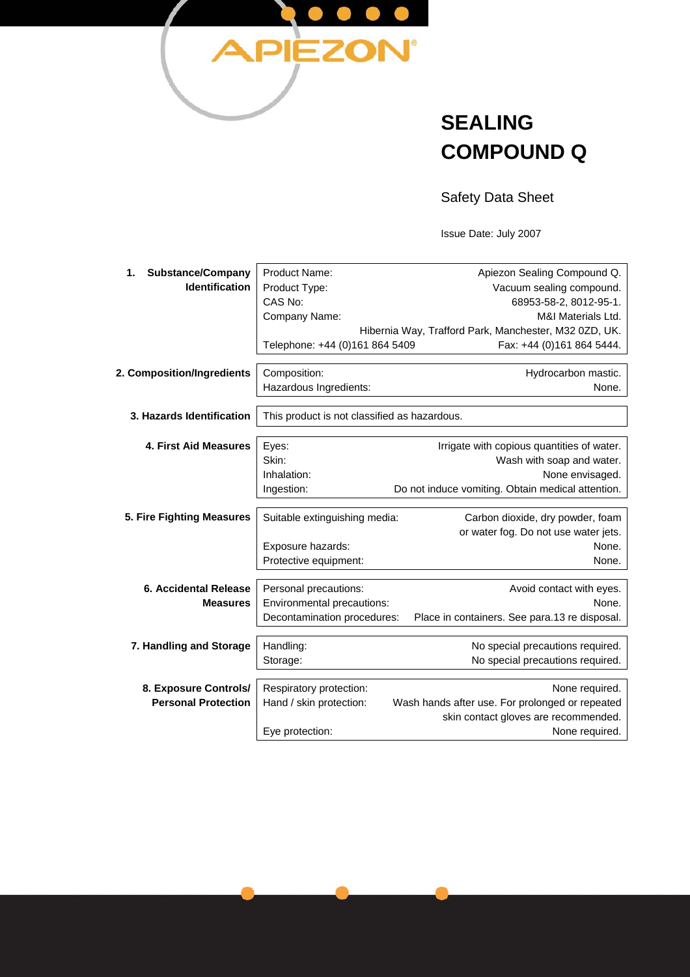

## **SEALING COMPOUND Q**

Safety Data Sheet

Issue Date: July 2007

| <b>Substance/Company</b><br>1. | <b>Product Name:</b>                         | Apiezon Sealing Compound Q.                           |  |
|--------------------------------|----------------------------------------------|-------------------------------------------------------|--|
| <b>Identification</b>          | Product Type:                                | Vacuum sealing compound.                              |  |
|                                | CAS No:                                      | 68953-58-2, 8012-95-1.                                |  |
|                                | Company Name:                                | M&I Materials Ltd.                                    |  |
|                                |                                              | Hibernia Way, Trafford Park, Manchester, M32 0ZD, UK. |  |
|                                | Telephone: +44 (0)161 864 5409               | Fax: +44 (0)161 864 5444.                             |  |
|                                |                                              |                                                       |  |
| 2. Composition/Ingredients     | Composition:                                 | Hydrocarbon mastic.                                   |  |
|                                | Hazardous Ingredients:                       | None.                                                 |  |
|                                |                                              |                                                       |  |
| 3. Hazards Identification      | This product is not classified as hazardous. |                                                       |  |
|                                |                                              |                                                       |  |
| 4. First Aid Measures          | Eyes:                                        | Irrigate with copious quantities of water.            |  |
|                                | Skin:                                        | Wash with soap and water.                             |  |
|                                | Inhalation:                                  | None envisaged.                                       |  |
|                                | Ingestion:                                   | Do not induce vomiting. Obtain medical attention.     |  |
|                                | Suitable extinguishing media:                | Carbon dioxide, dry powder, foam                      |  |
| 5. Fire Fighting Measures      |                                              | or water fog. Do not use water jets.                  |  |
|                                | Exposure hazards:                            | None.                                                 |  |
|                                | Protective equipment:                        | None.                                                 |  |
|                                |                                              |                                                       |  |
| 6. Accidental Release          | Personal precautions:                        | Avoid contact with eyes.                              |  |
| <b>Measures</b>                | Environmental precautions:                   | None.                                                 |  |
|                                | Decontamination procedures:                  | Place in containers. See para.13 re disposal.         |  |
|                                |                                              |                                                       |  |
| 7. Handling and Storage        | Handling:                                    | No special precautions required.                      |  |
|                                | Storage:                                     | No special precautions required.                      |  |
|                                |                                              |                                                       |  |
| 8. Exposure Controls/          | Respiratory protection:                      | None required.                                        |  |
| <b>Personal Protection</b>     | Hand / skin protection:                      | Wash hands after use. For prolonged or repeated       |  |
|                                |                                              | skin contact gloves are recommended.                  |  |
|                                | Eye protection:                              | None required.                                        |  |